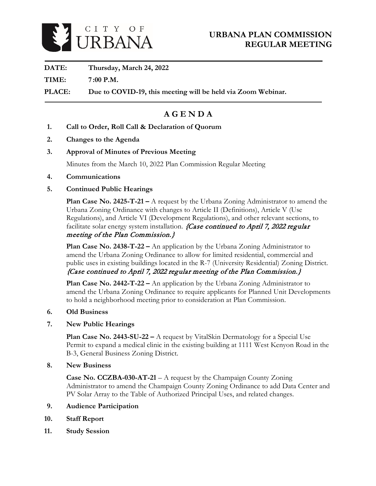

**DATE: Thursday, March 24, 2022**

**TIME: 7 :00 P.M.**

**PLACE: Due to COVID-19, this meeting will be held via Zoom Webinar.** 

# **A G E N D A**

- **1. Call to Order, Roll Call & Declaration of Quorum**
- **2. Changes to the Agenda**
- **3. Approval of Minutes of Previous Meeting**

Minutes from the March 10, 2022 Plan Commission Regular Meeting

- **4. Communications**
- **5. Continued Public Hearings**

**Plan Case No. 2425-T-21 –** A request by the Urbana Zoning Administrator to amend the Urbana Zoning Ordinance with changes to Article II (Definitions), Article V (Use Regulations), and Article VI (Development Regulations), and other relevant sections, to facilitate solar energy system installation. *{Case continued to April 7, 2022 regular* meeting of the Plan Commission.}

**Plan Case No. 2438-T-22 –** An application by the Urbana Zoning Administrator to amend the Urbana Zoning Ordinance to allow for limited residential, commercial and public uses in existing buildings located in the R-7 (University Residential) Zoning District. {Case continued to April 7, 2022 regular meeting of the Plan Commission.}

**Plan Case No. 2442-T-22 –** An application by the Urbana Zoning Administrator to amend the Urbana Zoning Ordinance to require applicants for Planned Unit Developments to hold a neighborhood meeting prior to consideration at Plan Commission.

- **6. Old Business**
- **7. New Public Hearings**

**Plan Case No. 2443-SU-22 –** A request by VitalSkin Dermatology for a Special Use Permit to expand a medical clinic in the existing building at 1111 West Kenyon Road in the B-3, General Business Zoning District.

**8. New Business**

**Case No. CCZBA-030-AT-21** – A request by the Champaign County Zoning Administrator to amend the Champaign County Zoning Ordinance to add Data Center and PV Solar Array to the Table of Authorized Principal Uses, and related changes.

- **9. Audience Participation**
- **10. Staff Report**
- **11. Study Session**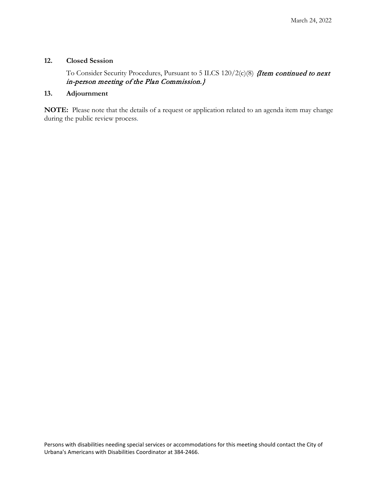#### **12. Closed Session**

To Consider Security Procedures, Pursuant to 5 ILCS 120/2(c)(8) *{Item continued to next* in-person meeting of the Plan Commission.}

## **13. Adjournment**

**NOTE:** Please note that the details of a request or application related to an agenda item may change during the public review process.

Persons with disabilities needing special services or accommodations for this meeting should contact the City of Urbana's Americans with Disabilities Coordinator at 384-2466.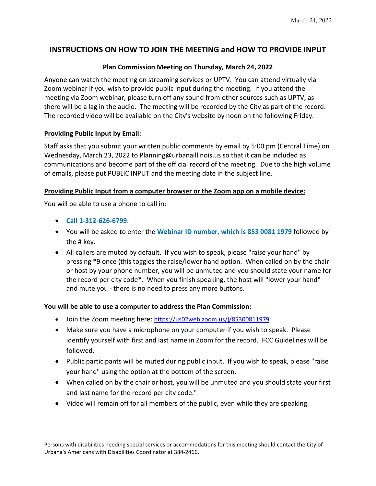# **INSTRUCTIONS ON HOW TO JOIN THE MEETING and HOW TO PROVIDE INPUT**

### **Plan Commission Meeting on Thursday, March 24, 2022**

Anyone can watch the meeting on streaming services or UPTV. You can attend virtually via Zoom webinar if you wish to provide public input during the meeting. If you attend the meeting via Zoom webinar, please turn off any sound from other sources such as UPTV, as there will be a lag in the audio. The meeting will be recorded by the City as part of the record. The recorded video will be available on the City's website by noon on the following Friday.

### **Providing Public Input by Email:**

Staff asks that you submit your written public comments by email by 5:00 pm (Central Time) on Wednesday, March 23, 2022 to Planning@urbanaillinois.us so that it can be included as communications and become part of the official record of the meeting. Due to the high volume of emails, please put PUBLIC INPUT and the meeting date in the subject line.

### **Providing Public Input from a computer browser or the Zoom app on a mobile device:**

You will be able to use a phone to call in:

- **Call 1-312-626-6799**.
- You will be asked to enter the **Webinar ID number, which is 853 0081 1979** followed by the # key.
- All callers are muted by default. If you wish to speak, please "raise your hand" by pressing \*9 once (this toggles the raise/lower hand option. When called on by the chair or host by your phone number, you will be unmuted and you should state your name for the record per city code\*. When you finish speaking, the host will "lower your hand" and mute you - there is no need to press any more buttons.

### **You will be able to use a computer to address the Plan Commission:**

- Join the Zoom meeting here:<https://us02web.zoom.us/j/85300811979>
- Make sure you have a microphone on your computer if you wish to speak. Please identify yourself with first and last name in Zoom for the record. FCC Guidelines will be followed.
- Public participants will be muted during public input. If you wish to speak, please "raise your hand" using the option at the bottom of the screen.
- When called on by the chair or host, you will be unmuted and you should state your first and last name for the record per city code."
- Video will remain off for all members of the public, even while they are speaking.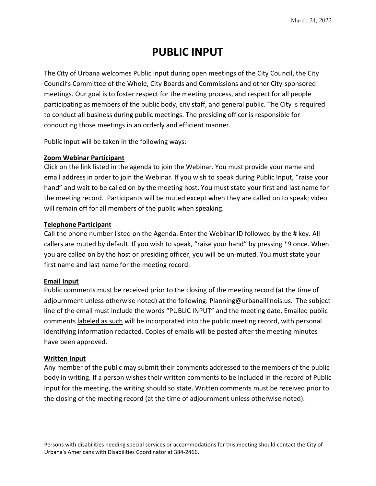# **PUBLIC INPUT**

The City of Urbana welcomes Public Input during open meetings of the City Council, the City Council's Committee of the Whole, City Boards and Commissions and other City-sponsored meetings. Our goal is to foster respect for the meeting process, and respect for all people participating as members of the public body, city staff, and general public. The City is required to conduct all business during public meetings. The presiding officer is responsible for conducting those meetings in an orderly and efficient manner.

Public Input will be taken in the following ways:

### **Zoom Webinar Participant**

Click on the link listed in the agenda to join the Webinar. You must provide your name and email address in order to join the Webinar. If you wish to speak during Public Input, "raise your hand" and wait to be called on by the meeting host. You must state your first and last name for the meeting record. Participants will be muted except when they are called on to speak; video will remain off for all members of the public when speaking.

### **Telephone Participant**

Call the phone number listed on the Agenda. Enter the Webinar ID followed by the # key. All callers are muted by default. If you wish to speak, "raise your hand" by pressing \*9 once. When you are called on by the host or presiding officer, you will be un-muted. You must state your first name and last name for the meeting record.

### **Email Input**

Public comments must be received prior to the closing of the meeting record (at the time of adjournment unless otherwise noted) at the following: Planning@urbanaillinois.us. The subject line of the email must include the words "PUBLIC INPUT" and the meeting date. Emailed public comments labeled as such will be incorporated into the public meeting record, with personal identifying information redacted. Copies of emails will be posted after the meeting minutes have been approved.

### **Written Input**

Any member of the public may submit their comments addressed to the members of the public body in writing. If a person wishes their written comments to be included in the record of Public Input for the meeting, the writing should so state. Written comments must be received prior to the closing of the meeting record (at the time of adjournment unless otherwise noted).